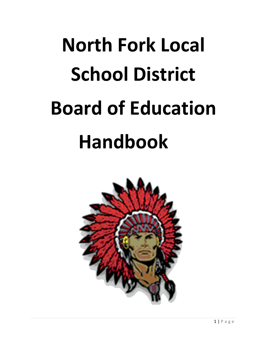# **North Fork Local School District Board of Education Handbook**

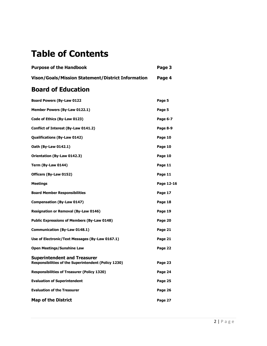## **Table of Contents**

| <b>Purpose of the Handbook</b>                     | Page 3 |
|----------------------------------------------------|--------|
| Vison/Goals/Mission Statement/District Information | Page 4 |

## **Board of Education**

| <b>Board Powers (By-Law 0122</b>                                                                   | Page 5     |
|----------------------------------------------------------------------------------------------------|------------|
| Member Powers (By-Law 0122.1)                                                                      | Page 5     |
| Code of Ethics (By-Law 0123)                                                                       | Page 6-7   |
| Conflict of Interest (By-Law 0141.2)                                                               | Page 8-9   |
| Qualifications (By-Law 0142)                                                                       | Page 10    |
| Oath (By-Law 0142.1)                                                                               | Page 10    |
| Orientation (By-Law 0142.3)                                                                        | Page 10    |
| Term (By-Law 0144)                                                                                 | Page 11    |
| Officers (By-Law 0152)                                                                             | Page 11    |
| Meetings                                                                                           | Page 12-16 |
| <b>Board Member Responsibilities</b>                                                               | Page 17    |
| Compensation (By-Law 0147)                                                                         | Page 18    |
| <b>Resignation or Removal (By-Law 0146)</b>                                                        | Page 19    |
| <b>Public Expressions of Members (By-Law 0148)</b>                                                 | Page 20    |
| Communication (By-Law 0148.1)                                                                      | Page 21    |
| Use of Electronic/Text Messages (By-Law 0167.1)                                                    | Page 21    |
| <b>Open Meetings/Sunshine Law</b>                                                                  | Page 22    |
| <b>Superintendent and Treasurer</b><br><b>Responsibilities of the Superintendent (Policy 1230)</b> | Page 23    |
| <b>Responsibilities of Treasurer (Policy 1320)</b>                                                 | Page 24    |
| <b>Evaluation of Superintendent</b>                                                                | Page 25    |
| <b>Evaluation of the Treasurer</b>                                                                 | Page 26    |
| <b>Map of the District</b>                                                                         | Page 27    |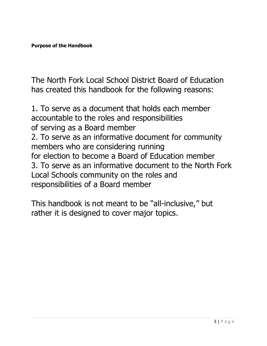**Purpose of the Handbook** 

The North Fork Local School District Board of Education has created this handbook for the following reasons:

1. To serve as a document that holds each member accountable to the roles and responsibilities of serving as a Board member 2. To serve as an informative document for community members who are considering running for election to become a Board of Education member 3. To serve as an informative document to the North Fork Local Schools community on the roles and responsibilities of a Board member

This handbook is not meant to be "all‐inclusive," but rather it is designed to cover major topics.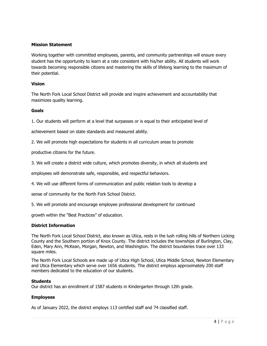#### **Mission Statement**

Working together with committed employees, parents, and community partnerships will ensure every student has the opportunity to learn at a rate consistent with his/her ability. All students will work towards becoming responsible citizens and mastering the skills of lifelong learning to the maximum of their potential.

#### **Vision**

The North Fork Local School District will provide and inspire achievement and accountability that maximizes quality learning.

#### **Goals**

1. Our students will perform at a level that surpasses or is equal to their anticipated level of

achievement based on state standards and measured ability.

2. We will promote high expectations for students in all curriculum areas to promote

productive citizens for the future.

3. We will create a district wide culture, which promotes diversity, in which all students and

employees will demonstrate safe, responsible, and respectful behaviors.

4. We will use different forms of communication and public relation tools to develop a

sense of community for the North Fork School District.

5. We will promote and encourage employee professional development for continued

growth within the "Best Practices" of education.

#### **District Information**

The North Fork Local School District, also known as Utica, rests in the lush rolling hills of Northern Licking County and the Southern portion of Knox County. The district includes the townships of Burlington, Clay, Eden, Mary Ann, McKean, Morgan, Newton, and Washington. The district boundaries trace over 133 square miles.

The North Fork Local Schools are made up of Utica High School, Utica Middle School, Newton Elementary and Utica Elementary which serve over 1656 students. The district employs approximately 200 staff members dedicated to the education of our students.

#### **Students**

Our district has an enrollment of 1587 students in Kindergarten through 12th grade.

#### **Employees**

As of January 2022, the district employs 113 certified staff and 74 classified staff.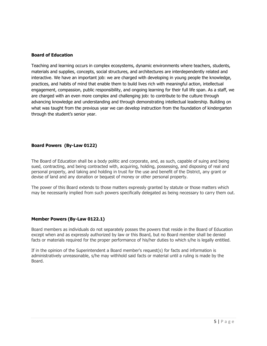#### **Board of Education**

Teaching and learning occurs in complex ecosystems, dynamic environments where teachers, students, materials and supplies, concepts, social structures, and architectures are interdependently related and interactive. We have an important job: we are charged with developing in young people the knowledge, practices, and habits of mind that enable them to build lives rich with meaningful action, intellectual engagement, compassion, public responsibility, and ongoing learning for their full life span. As a staff, we are charged with an even more complex and challenging job: to contribute to the culture through advancing knowledge and understanding and through demonstrating intellectual leadership. Building on what was taught from the previous year we can develop instruction from the foundation of kindergarten through the student's senior year.

#### **Board Powers (By-Law 0122)**

The Board of Education shall be a body politic and corporate, and, as such, capable of suing and being sued, contracting, and being contracted with, acquiring, holding, possessing, and disposing of real and personal property, and taking and holding in trust for the use and benefit of the District, any grant or devise of land and any donation or bequest of money or other personal property.

The power of this Board extends to those matters expressly granted by statute or those matters which may be necessarily implied from such powers specifically delegated as being necessary to carry them out.

#### **Member Powers (By-Law 0122.1)**

Board members as individuals do not separately posses the powers that reside in the Board of Education except when and as expressly authorized by law or this Board, but no Board member shall be denied facts or materials required for the proper performance of his/her duties to which s/he is legally entitled.

If in the opinion of the Superintendent a Board member's request(s) for facts and information is administratively unreasonable, s/he may withhold said facts or material until a ruling is made by the Board.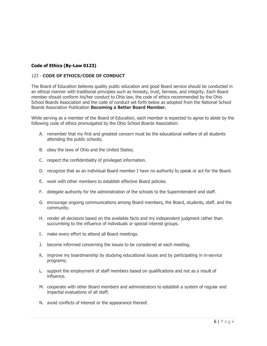#### **Code of Ethics (By-Law 0123)**

#### 123 - **CODE OF ETHICS/CODE OF CONDUCT**

The Board of Education believes quality public education and good Board service should be conducted in an ethical manner with traditional principles such as honesty, trust, fairness, and integrity. Each Board member should conform his/her conduct to Ohio law, the code of ethics recommended by the Ohio School Boards Association and the code of conduct set forth below as adopted from the National School Boards Association Publication **Becoming a Better Board Member.**

While serving as a member of the Board of Education, each member is expected to agree to abide by the following code of ethics promulgated by the Ohio School Boards Association:

- A. remember that my first and greatest concern must be the educational welfare of all students attending the public schools;
- B. obey the laws of Ohio and the United States;
- C. respect the confidentiality of privileged information.
- D. recognize that as an individual Board member I have no authority to speak or act for the Board.
- E. work with other members to establish effective Board policies.
- F. delegate authority for the administration of the schools to the Superintendent and staff.
- G. encourage ongoing communications among Board members, the Board, students, staff, and the community.
- H. render all decisions based on the available facts and my independent judgment rather than succumbing to the influence of individuals or special interest groups.
- I. make every effort to attend all Board meetings.
- J. become informed concerning the issues to be considered at each meeting.
- K. improve my boardmanship by studying educational issues and by participating in in-service programs;
- L. support the employment of staff members based on qualifications and not as a result of influence.
- M. cooperate with other Board members and administrators to establish a system of regular and impartial evaluations of all staff;
- N. avoid conflicts of interest or the appearance thereof.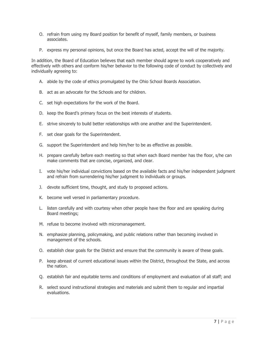- O. refrain from using my Board position for benefit of myself, family members, or business associates.
- P. express my personal opinions, but once the Board has acted, accept the will of the majority.

In addition, the Board of Education believes that each member should agree to work cooperatively and effectively with others and conform his/her behavior to the following code of conduct by collectively and individually agreeing to:

- A. abide by the code of ethics promulgated by the Ohio School Boards Association.
- B. act as an advocate for the Schools and for children.
- C. set high expectations for the work of the Board.
- D. keep the Board's primary focus on the best interests of students.
- E. strive sincerely to build better relationships with one another and the Superintendent.
- F. set clear goals for the Superintendent.
- G. support the Superintendent and help him/her to be as effective as possible.
- H. prepare carefully before each meeting so that when each Board member has the floor, s/he can make comments that are concise, organized, and clear.
- I. vote his/her individual convictions based on the available facts and his/her independent judgment and refrain from surrendering his/her judgment to individuals or groups.
- J. devote sufficient time, thought, and study to proposed actions.
- K. become well versed in parliamentary procedure.
- L. listen carefully and with courtesy when other people have the floor and are speaking during Board meetings;
- M. refuse to become involved with micromanagement.
- N. emphasize planning, policymaking, and public relations rather than becoming involved in management of the schools.
- O. establish clear goals for the District and ensure that the community is aware of these goals.
- P. keep abreast of current educational issues within the District, throughout the State, and across the nation.
- Q. establish fair and equitable terms and conditions of employment and evaluation of all staff; and
- R. select sound instructional strategies and materials and submit them to regular and impartial evaluations.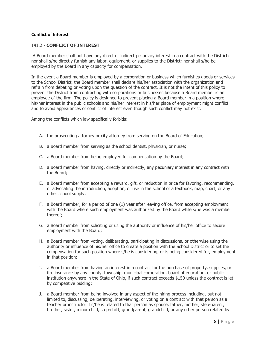#### **Conflict of Interest**

#### 141.2 - **CONFLICT OF INTEREST**

A Board member shall not have any direct or indirect pecuniary interest in a contract with the District; nor shall s/he directly furnish any labor, equipment, or supplies to the District; nor shall s/he be employed by the Board in any capacity for compensation.

In the event a Board member is employed by a corporation or business which furnishes goods or services to the School District, the Board member shall declare his/her association with the organization and refrain from debating or voting upon the question of the contract. It is not the intent of this policy to prevent the District from contracting with corporations or businesses because a Board member is an employee of the firm. The policy is designed to prevent placing a Board member in a position where his/her interest in the public schools and his/her interest in his/her place of employment might conflict and to avoid appearances of conflict of interest even though such conflict may not exist.

Among the conflicts which law specifically forbids:

- A. the prosecuting attorney or city attorney from serving on the Board of Education;
- B. a Board member from serving as the school dentist, physician, or nurse;
- C. a Board member from being employed for compensation by the Board;
- D. a Board member from having, directly or indirectly, any pecuniary interest in any contract with the Board;
- E. a Board member from accepting a reward, gift, or reduction in price for favoring, recommending, or advocating the introduction, adoption, or use in the school of a textbook, map, chart, or any other school supply;
- F. a Board member, for a period of one (1) year after leaving office, from accepting employment with the Board where such employment was authorized by the Board while s/he was a member thereof;
- G. a Board member from soliciting or using the authority or influence of his/her office to secure employment with the Board;
- H. a Board member from voting, deliberating, participating in discussions, or otherwise using the authority or influence of his/her office to create a position with the School District or to set the compensation for such position where s/he is considering, or is being considered for, employment in that position;
- I. a Board member from having an interest in a contract for the purchase of property, supplies, or fire insurance by any county, township, municipal corporation, board of education, or public institution anywhere in the State of Ohio, if such contract exceeds \$150 unless the contract is let by competitive bidding;
- J. a Board member from being involved in any aspect of the hiring process including, but not limited to, discussing, deliberating, interviewing, or voting on a contract with that person as a teacher or instructor if s/he is related to that person as spouse, father, mother, step-parent, brother, sister, minor child, step-child, grandparent, grandchild, or any other person related by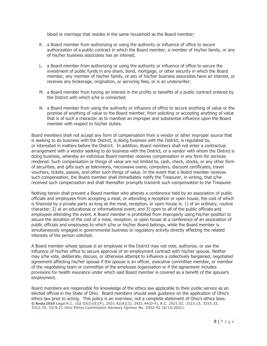blood or marriage that resides in the same household as the Board member;

- K. a Board member from authorizing or using the authority or influence of office to secure authorization of a public contract in which the Board member, a member of his/her family, or any of his/her business associates has an interest;
- L. a Board member from authorizing or using the authority or influence of office to secure the investment of public funds in any share, bond, mortgage, or other security in which the Board member, any member of his/her family, or any of his/her business associates have an interest, or receives any brokerage, origination, or servicing fees, or is an underwriter;
- M. a Board member from having an interest in the profits or benefits of a public contract entered by the District with which s/he is connected;
- N. a Board member from using the authority or influence of office to secure anything of value or the promise of anything of value to the Board member, from soliciting or accepting anything of value that is of such a character as to manifest an improper and substantial influence upon the Board member with respect to his/her duties.

Board members shall not accept any form of compensation from a vendor or other improper source that is seeking to do business with the District, is doing business with the District, is regulated by, or interested in matters before the District. In addition, Board members shall not enter a contractual arrangement with a vendor seeking to do business with the District, or a vendor with whom the District is doing business, whereby an individual Board member receives compensation in any form for services rendered. Such compensation or things of value are not limited to, cash, check, stocks, or any other form of securities, and gifts such as televisions, microwave ovens, computers, discount certificates, travel vouchers, tickets, passes, and other such things of value. In the event that a Board member receives such compensation, the Board member shall immediately notify the Treasurer, in writing, that s/he received such compensation and shall thereafter promptly transmit such compensation to the Treasurer.

Nothing herein shall prevent a Board member who attends a conference held by an association of public officials and employees from accepting a meal, or attending a reception or open house, the cost of which is financed by a private party so long as the meal, reception, or open house is: 1) of an ordinary, routine character; 2) at an educational or informational event; and 3) open to all of the public officials and employees attending the event. A Board member is prohibited from improperly using his/her position to secure the donation of the cost of a meal, reception, or open house at a conference of an association of public officials and employees to which s/he or his/her Board belongs, while the Board member is simultaneously engaged in governmental business or regulatory activity directly affecting the related interests of the person solicited.

A Board member whose spouse is an employee in the District may not vote, authorize, or use the influence of his/her office to secure approval of an employment contract with his/her spouse. Neither may s/he vote, deliberate, discuss, or otherwise attempt to influence a collectively bargained, negotiated agreement affecting his/her spouse if the spouse is an officer, executive committee member, or member of the negotiating team or committee of the employee organization or if the agreement includes provisions for health insurance under which said Board member is covered as a benefit of the spouse's employment.

Board members are responsible for knowledge of the ethics law applicable to their public service as an elected official in the State of Ohio. Board members should seek guidance on the application of Ohio's ethics law prior to acting. This policy is an overview, not a complete statement of Ohio's ethics laws. **© Neola 2018** Legal R.C. 102.03(D)(E)(F), 2921.42(A)(3), 2921.44(D-F), R.C. 2921.02, 3313.13, 3313.33, 3313.70, 3319.21 Ohio Ethics Commission Advisory Opinion No. 2002-02 (6/13/2002).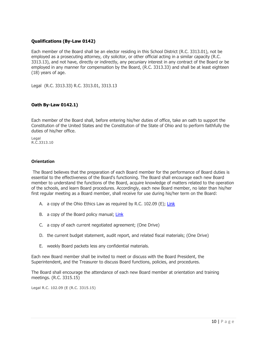#### **Qualifications (By-Law 0142)**

Each member of the Board shall be an elector residing in this School District (R.C. 3313.01), not be employed as a prosecuting attorney, city solicitor, or other official acting in a similar capacity (R.C. 3313.13), and not have, directly or indirectly, any pecuniary interest in any contract of the Board or be employed in any manner for compensation by the Board, (R.C. 3313.33) and shall be at least eighteen (18) years of age.

Legal (R.C. 3313.33) R.C. 3313.01, 3313.13

#### **Oath By-Law 0142.1)**

Each member of the Board shall, before entering his/her duties of office, take an oath to support the Constitution of the United States and the Constitution of the State of Ohio and to perform faithfully the duties of his/her office.

Legal R.C.3313.10

#### **Orientation**

The Board believes that the preparation of each Board member for the performance of Board duties is essential to the effectiveness of the Board's functioning. The Board shall encourage each new Board member to understand the functions of the Board, acquire knowledge of matters related to the operation of the schools, and learn Board procedures. Accordingly, each new Board member, no later than his/her first regular meeting as a Board member, shall receive for use during his/her term on the Board:

- A. a copy of the Ohio Ethics Law as required by R.C. 102.09 (E); [Link](https://www.ethics.ohio.gov/education/factsheets/EthicsLawOverview.pdf)
- B. a copy of the Board policy manual; [Link](https://go.boarddocs.com/oh/nofo/Board.nsf/Public?open&id=policies)
- C. a copy of each current negotiated agreement; (One Drive)
- D. the current budget statement, audit report, and related fiscal materials; (One Drive)
- E. weekly Board packets less any confidential materials.

Each new Board member shall be invited to meet or discuss with the Board President, the Superintendent, and the Treasurer to discuss Board functions, policies, and procedures.

The Board shall encourage the attendance of each new Board member at orientation and training meetings. (R.C. 3315.15)

Legal R.C. 102.09 (E (R.C. 3315.15)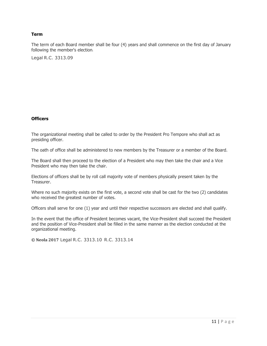#### **Term**

The term of each Board member shall be four (4) years and shall commence on the first day of January following the member's election.

Legal R.C. 3313.09

#### **Officers**

The organizational meeting shall be called to order by the President Pro Tempore who shall act as presiding officer.

The oath of office shall be administered to new members by the Treasurer or a member of the Board.

The Board shall then proceed to the election of a President who may then take the chair and a Vice President who may then take the chair.

Elections of officers shall be by roll call majority vote of members physically present taken by the Treasurer.

Where no such majority exists on the first vote, a second vote shall be cast for the two (2) candidates who received the greatest number of votes.

Officers shall serve for one (1) year and until their respective successors are elected and shall qualify.

In the event that the office of President becomes vacant, the Vice-President shall succeed the President and the position of Vice-President shall be filled in the same manner as the election conducted at the organizational meeting.

**© Neola 2017** Legal R.C. 3313.10 R.C. 3313.14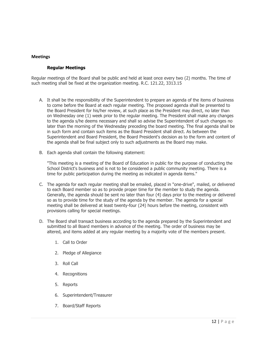#### **Meetings**

#### **Regular Meetings**

Regular meetings of the Board shall be public and held at least once every two (2) months. The time of such meeting shall be fixed at the organization meeting. R.C. 121.22, 3313.15

- A. It shall be the responsibility of the Superintendent to prepare an agenda of the items of business to come before the Board at each regular meeting. The proposed agenda shall be presented to the Board President for his/her review, at such place as the President may direct, no later than on Wednesday one (1) week prior to the regular meeting. The President shall make any changes to the agenda s/he deems necessary and shall so advise the Superintendent of such changes no later than the morning of the Wednesday preceding the board meeting. The final agenda shall be in such form and contain such items as the Board President shall direct. As between the Superintendent and Board President, the Board President's decision as to the form and content of the agenda shall be final subject only to such adjustments as the Board may make.
- B. Each agenda shall contain the following statement:

"This meeting is a meeting of the Board of Education in public for the purpose of conducting the School District's business and is not to be considered a public community meeting. There is a time for public participation during the meeting as indicated in agenda items."

- C. The agenda for each regular meeting shall be emailed, placed in "one-drive", mailed, or delivered to each Board member so as to provide proper time for the member to study the agenda. Generally, the agenda should be sent no later than four (4) days prior to the meeting or delivered so as to provide time for the study of the agenda by the member. The agenda for a special meeting shall be delivered at least twenty-four (24) hours before the meeting, consistent with provisions calling for special meetings.
- D. The Board shall transact business according to the agenda prepared by the Superintendent and submitted to all Board members in advance of the meeting. The order of business may be altered, and items added at any regular meeting by a majority vote of the members present.
	- 1. Call to Order
	- 2. Pledge of Allegiance
	- 3. Roll Call
	- 4. Recognitions
	- 5. Reports
	- 6. Superintendent/Treasurer
	- 7. Board/Staff Reports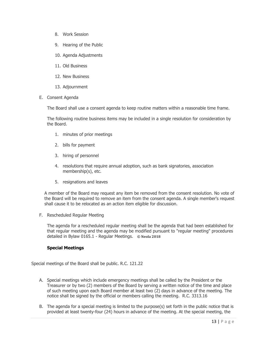- 8. Work Session
- 9. Hearing of the Public
- 10. Agenda Adjustments
- 11. Old Business
- 12. New Business
- 13. Adjournment
- E. Consent Agenda

The Board shall use a consent agenda to keep routine matters within a reasonable time frame.

The following routine business items may be included in a single resolution for consideration by the Board.

- 1. minutes of prior meetings
- 2. bills for payment
- 3. hiring of personnel
- 4. resolutions that require annual adoption, such as bank signatories, association membership(s), etc.
- 5. resignations and leaves

A member of the Board may request any item be removed from the consent resolution. No vote of the Board will be required to remove an item from the consent agenda. A single member's request shall cause it to be relocated as an action item eligible for discussion.

F. Rescheduled Regular Meeting

The agenda for a rescheduled regular meeting shall be the agenda that had been established for that regular meeting and the agenda may be modified pursuant to "regular meeting" procedures detailed in Bylaw 0165.1 - Regular Meetings. **© Neola 2018**

#### **Special Meetings**

Special meetings of the Board shall be public. R.C. 121.22

- A. Special meetings which include emergency meetings shall be called by the President or the Treasurer or by two (2) members of the Board by serving a written notice of the time and place of such meeting upon each Board member at least two (2) days in advance of the meeting. The notice shall be signed by the official or members calling the meeting. R.C. 3313.16
- B. The agenda for a special meeting is limited to the purpose(s) set forth in the public notice that is provided at least twenty-four (24) hours in advance of the meeting. At the special meeting, the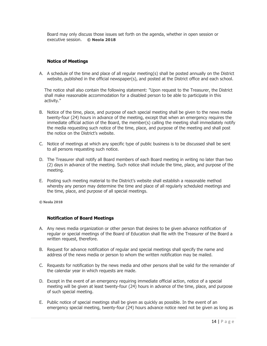Board may only discuss those issues set forth on the agenda, whether in open session or executive session. **© Neola 2018**

#### **Notice of Meetings**

A. A schedule of the time and place of all regular meeting(s) shall be posted annually on the District website, published in the official newspaper(s), and posted at the District office and each school.

The notice shall also contain the following statement: "Upon request to the Treasurer, the District shall make reasonable accommodation for a disabled person to be able to participate in this activity."

- B. Notice of the time, place, and purpose of each special meeting shall be given to the news media twenty-four (24) hours in advance of the meeting, except that when an emergency requires the immediate official action of the Board, the member(s) calling the meeting shall immediately notify the media requesting such notice of the time, place, and purpose of the meeting and shall post the notice on the District's website.
- C. Notice of meetings at which any specific type of public business is to be discussed shall be sent to all persons requesting such notice.
- D. The Treasurer shall notify all Board members of each Board meeting in writing no later than two (2) days in advance of the meeting. Such notice shall include the time, place, and purpose of the meeting.
- E. Posting such meeting material to the District's website shall establish a reasonable method whereby any person may determine the time and place of all regularly scheduled meetings and the time, place, and purpose of all special meetings.

**© Neola 2018**

#### **Notification of Board Meetings**

- A. Any news media organization or other person that desires to be given advance notification of regular or special meetings of the Board of Education shall file with the Treasurer of the Board a written request, therefore.
- B. Request for advance notification of regular and special meetings shall specify the name and address of the news media or person to whom the written notification may be mailed.
- C. Requests for notification by the news media and other persons shall be valid for the remainder of the calendar year in which requests are made.
- D. Except in the event of an emergency requiring immediate official action, notice of a special meeting will be given at least twenty-four (24) hours in advance of the time, place, and purpose of such special meeting.
- E. Public notice of special meetings shall be given as quickly as possible. In the event of an emergency special meeting, twenty-four (24) hours advance notice need not be given as long as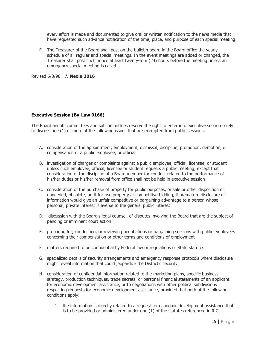every effort is made and documented to give oral or written notification to the news media that have requested such advance notification of the time, place, and purpose of each special meeting

F. The Treasurer of the Board shall post on the bulletin board in the Board office the yearly schedule of all regular and special meetings. In the event meetings are added or changed, the Treasurer shall post such notice at least twenty-four (24) hours before the meeting unless an emergency special meeting is called.

Revised 6/8/98 **© Neola 2016**

#### **Executive Session (By-Law 0166)**

The Board and its committees and subcommittees reserve the right to enter into executive session solely to discuss one (1) or more of the following issues that are exempted from public sessions:

- A. consideration of the appointment, employment, dismissal, discipline, promotion, demotion, or compensation of a public employee, or official
- B. investigation of charges or complaints against a public employee, official, licensee, or student unless such employee, official, licensee or student requests a public meeting; except that consideration of the discipline of a Board member for conduct related to the performance of his/her duties or his/her removal from office shall not be held in executive session
- C. consideration of the purchase of property for public purposes, or sale or other disposition of unneeded, obsolete, unfit-for-use property at competitive bidding, if premature disclosure of information would give an unfair competitive or bargaining advantage to a person whose personal, private interest is averse to the general public interest
- D. discussion with the Board's legal counsel, of disputes involving the Board that are the subject of pending or imminent court action
- E. preparing for, conducting, or reviewing negotiations or bargaining sessions with public employees concerning their compensation or other terms and conditions of employment
- F. matters required to be confidential by Federal law or regulations or State statutes
- G. specialized details of security arrangements and emergency response protocols where disclosure might reveal information that could jeopardize the District's security
- H. consideration of confidential information related to the marketing plans, specific business strategy, production techniques, trade secrets, or personal financial statements of an applicant for economic development assistance, or to negotiations with other political subdivisions respecting requests for economic development assistance, provided that both of the following conditions apply:
	- 1. the information is directly related to a request for economic development assistance that is to be provided or administered under one (1) of the statutes referenced in R.C.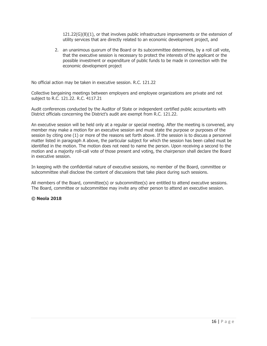121.22(G)(8)(1), or that involves public infrastructure improvements or the extension of utility services that are directly related to an economic development project, and

2. an unanimous quorum of the Board or its subcommittee determines, by a roll call vote, that the executive session is necessary to protect the interests of the applicant or the possible investment or expenditure of public funds to be made in connection with the economic development project

No official action may be taken in executive session. R.C. 121.22

Collective bargaining meetings between employers and employee organizations are private and not subject to R.C. 121.22. R.C. 4117.21

Audit conferences conducted by the Auditor of State or independent certified public accountants with District officials concerning the District's audit are exempt from R.C. 121.22.

An executive session will be held only at a regular or special meeting. After the meeting is convened, any member may make a motion for an executive session and must state the purpose or purposes of the session by citing one (1) or more of the reasons set forth above. If the session is to discuss a personnel matter listed in paragraph A above, the particular subject for which the session has been called must be identified in the motion. The motion does not need to name the person. Upon receiving a second to the motion and a majority roll-call vote of those present and voting, the chairperson shall declare the Board in executive session.

In keeping with the confidential nature of executive sessions, no member of the Board, committee or subcommittee shall disclose the content of discussions that take place during such sessions.

All members of the Board, committee(s) or subcommittee(s) are entitled to attend executive sessions. The Board, committee or subcommittee may invite any other person to attend an executive session.

#### **© Neola 2018**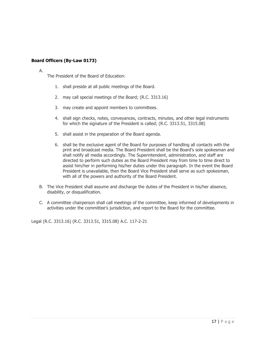#### **Board Officers (By-Law 0173)**

#### A.

The President of the Board of Education:

- 1. shall preside at all public meetings of the Board.
- 2. may call special meetings of the Board; (R.C. 3313.16)
- 3. may create and appoint members to committees.
- 4. shall sign checks, notes, conveyances, contracts, minutes, and other legal instruments for which the signature of the President is called; (R.C. 3313.51, 3315.08)
- 5. shall assist in the preparation of the Board agenda.
- 6. shall be the exclusive agent of the Board for purposes of handling all contacts with the print and broadcast media. The Board President shall be the Board's sole spokesman and shall notify all media accordingly. The Superintendent, administration, and staff are directed to perform such duties as the Board President may from time to time direct to assist him/her in performing his/her duties under this paragraph. In the event the Board President is unavailable, then the Board Vice President shall serve as such spokesman, with all of the powers and authority of the Board President.
- B. The Vice President shall assume and discharge the duties of the President in his/her absence, disability, or disqualification.
- C. A committee chairperson shall call meetings of the committee, keep informed of developments in activities under the committee's jurisdiction, and report to the Board for the committee.

Legal (R.C. 3313.16) (R.C. 3313.51, 3315.08) A.C. 117-2-21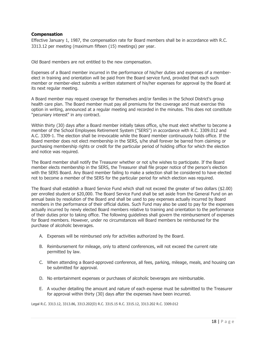#### **Compensation**

Effective January 1, 1987, the compensation rate for Board members shall be in accordance with R.C. 3313.12 per meeting (maximum fifteen (15) meetings) per year.

Old Board members are not entitled to the new compensation.

Expenses of a Board member incurred in the performance of his/her duties and expenses of a memberelect in training and orientation will be paid from the Board service fund, provided that each such member or member-elect submits a written statement of his/her expenses for approval by the Board at its next regular meeting.

A Board member may request coverage for themselves and/or families in the School District's group health care plan. The Board member must pay all premiums for the coverage and must exercise this option in writing, announced at a regular meeting and recorded in the minutes. This does not constitute "pecuniary interest" in any contract.

Within thirty (30) days after a Board member initially takes office, s/he must elect whether to become a member of the School Employees Retirement System ("SERS") in accordance with R.C. 3309.012 and A.C. 3309-1. The election shall be irrevocable while the Board member continuously holds office. If the Board member does not elect membership in the SERS, s/he shall forever be barred from claiming or purchasing membership rights or credit for the particular period of holding office for which the election and notice was required.

The Board member shall notify the Treasurer whether or not s/he wishes to participate. If the Board member elects membership in the SERS, the Treasurer shall file proper notice of the person's election with the SERS Board. Any Board member failing to make a selection shall be considered to have elected not to become a member of the SERS for the particular period for which election was required.

The Board shall establish a Board Service Fund which shall not exceed the greater of two dollars (\$2.00) per enrolled student or \$20,000. The Board Service Fund shall be set aside from the General Fund on an annual basis by resolution of the Board and shall be used to pay expenses actually incurred by Board members in the performance of their official duties. Such Fund may also be used to pay for the expenses actually incurred by newly elected Board members relative to training and orientation to the performance of their duties prior to taking office. The following guidelines shall govern the reimbursement of expenses for Board members. However, under no circumstances will Board members be reimbursed for the purchase of alcoholic beverages.

- A. Expenses will be reimbursed only for activities authorized by the Board.
- B. Reimbursement for mileage, only to attend conferences, will not exceed the current rate permitted by law.
- C. When attending a Board-approved conference, all fees, parking, mileage, meals, and housing can be submitted for approval.
- D. No entertainment expenses or purchases of alcoholic beverages are reimbursable.
- E. A voucher detailing the amount and nature of each expense must be submitted to the Treasurer for approval within thirty (30) days after the expenses have been incurred.

Legal R.C. 3313.12, 3313.86, 3313.202(D) R.C. 3315.15 R.C. 3315.12, 3313.202 R.C. 3309.012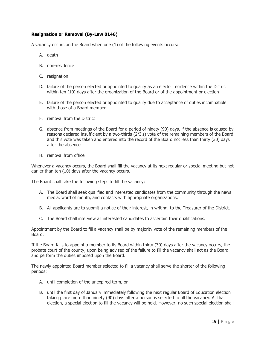#### **Resignation or Removal (By-Law 0146)**

A vacancy occurs on the Board when one (1) of the following events occurs:

- A. death
- B. non-residence
- C. resignation
- D. failure of the person elected or appointed to qualify as an elector residence within the District within ten (10) days after the organization of the Board or of the appointment or election
- E. failure of the person elected or appointed to qualify due to acceptance of duties incompatible with those of a Board member
- F. removal from the District
- G. absence from meetings of the Board for a period of ninety (90) days, if the absence is caused by reasons declared insufficient by a two-thirds (2/3's) vote of the remaining members of the Board and this vote was taken and entered into the record of the Board not less than thirty (30) days after the absence
- H. removal from office

Whenever a vacancy occurs, the Board shall fill the vacancy at its next regular or special meeting but not earlier than ten (10) days after the vacancy occurs.

The Board shall take the following steps to fill the vacancy:

- A. The Board shall seek qualified and interested candidates from the community through the news media, word of mouth, and contacts with appropriate organizations.
- B. All applicants are to submit a notice of their interest, in writing, to the Treasurer of the District.
- C. The Board shall interview all interested candidates to ascertain their qualifications.

Appointment by the Board to fill a vacancy shall be by majority vote of the remaining members of the Board.

If the Board fails to appoint a member to its Board within thirty (30) days after the vacancy occurs, the probate court of the county, upon being advised of the failure to fill the vacancy shall act as the Board and perform the duties imposed upon the Board.

The newly appointed Board member selected to fill a vacancy shall serve the shorter of the following periods:

- A. until completion of the unexpired term, or
- B. until the first day of January immediately following the next regular Board of Education election taking place more than ninety (90) days after a person is selected to fill the vacancy. At that election, a special election to fill the vacancy will be held. However, no such special election shall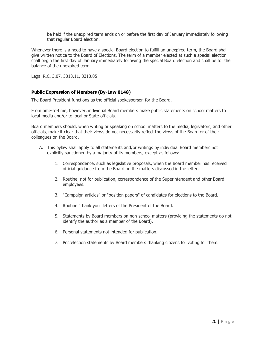be held if the unexpired term ends on or before the first day of January immediately following that regular Board election.

Whenever there is a need to have a special Board election to fulfill an unexpired term, the Board shall give written notice to the Board of Elections. The term of a member elected at such a special election shall begin the first day of January immediately following the special Board election and shall be for the balance of the unexpired term.

Legal R.C. 3.07, 3313.11, 3313.85

#### **Public Expression of Members (By-Law 0148)**

The Board President functions as the official spokesperson for the Board.

From time-to-time, however, individual Board members make public statements on school matters to local media and/or to local or State officials.

Board members should, when writing or speaking on school matters to the media, legislators, and other officials, make it clear that their views do not necessarily reflect the views of the Board or of their colleagues on the Board.

- A. This bylaw shall apply to all statements and/or writings by individual Board members not explicitly sanctioned by a majority of its members, except as follows:
	- 1. Correspondence, such as legislative proposals, when the Board member has received official guidance from the Board on the matters discussed in the letter.
	- 2. Routine, not for publication, correspondence of the Superintendent and other Board employees.
	- 3. "Campaign articles" or "position papers" of candidates for elections to the Board.
	- 4. Routine "thank you" letters of the President of the Board.
	- 5. Statements by Board members on non-school matters (providing the statements do not identify the author as a member of the Board).
	- 6. Personal statements not intended for publication.
	- 7. Postelection statements by Board members thanking citizens for voting for them.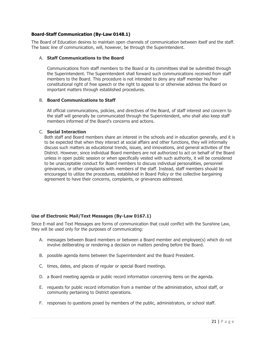#### **Board-Staff Communication (By-Law 0148.1)**

The Board of Education desires to maintain open channels of communication between itself and the staff. The basic line of communication, will, however, be through the Superintendent.

#### A. **Staff Communications to the Board**

Communications from staff members to the Board or its committees shall be submitted through the Superintendent. The Superintendent shall forward such communications received from staff members to the Board. This procedure is not intended to deny any staff member his/her constitutional right of free speech or the right to appeal to or otherwise address the Board on important matters through established procedures.

#### B. **Board Communications to Staff**

All official communications, policies, and directives of the Board, of staff interest and concern to the staff will generally be communicated through the Superintendent, who shall also keep staff members informed of the Board's concerns and actions.

#### C. **Social Interaction**

Both staff and Board members share an interest in the schools and in education generally, and it is to be expected that when they interact at social affairs and other functions, they will informally discuss such matters as educational trends, issues, and innovations, and general activities of the District. However, since individual Board members are not authorized to act on behalf of the Board unless in open public session or when specifically vested with such authority, it will be considered to be unacceptable conduct for Board members to discuss individual personalities, personnel grievances, or other complaints with members of the staff. Instead, staff members should be encouraged to utilize the procedures, established in Board Policy or the collective bargaining agreement to have their concerns, complaints, or grievances addressed.

#### **Use of Electronic Mail/Text Messages (By-Law 0167.1)**

Since E-mail and Text Messages are forms of communication that could conflict with the Sunshine Law, they will be used only for the purposes of communicating:

- A. messages between Board members or between a Board member and employee(s) which do not involve deliberating or rendering a decision on matters pending before the Board.
- B. possible agenda items between the Superintendent and the Board President.
- C. times, dates, and places of regular or special Board meetings.
- D. a Board meeting agenda or public record information concerning items on the agenda.
- E. requests for public record information from a member of the administration, school staff, or community pertaining to District operations.
- F. responses to questions posed by members of the public, administrators, or school staff.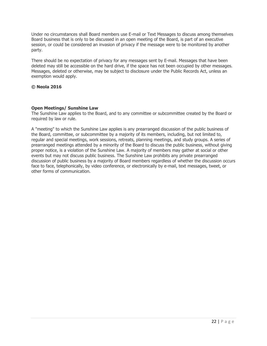Under no circumstances shall Board members use E-mail or Text Messages to discuss among themselves Board business that is only to be discussed in an open meeting of the Board, is part of an executive session, or could be considered an invasion of privacy if the message were to be monitored by another party.

There should be no expectation of privacy for any messages sent by E-mail. Messages that have been deleted may still be accessible on the hard drive, if the space has not been occupied by other messages. Messages, deleted or otherwise, may be subject to disclosure under the Public Records Act, unless an exemption would apply.

#### **© Neola 2016**

#### **Open Meetings/ Sunshine Law**

The Sunshine Law applies to the Board, and to any committee or subcommittee created by the Board or required by law or rule.

A "meeting" to which the Sunshine Law applies is any prearranged discussion of the public business of the Board, committee, or subcommittee by a majority of its members, including, but not limited to, regular and special meetings, work sessions, retreats, planning meetings, and study groups. A series of prearranged meetings attended by a minority of the Board to discuss the public business, without giving proper notice, is a violation of the Sunshine Law. A majority of members may gather at social or other events but may not discuss public business. The Sunshine Law prohibits any private prearranged discussion of public business by a majority of Board members regardless of whether the discussion occurs face to face, telephonically, by video conference, or electronically by e-mail, text messages, tweet, or other forms of communication.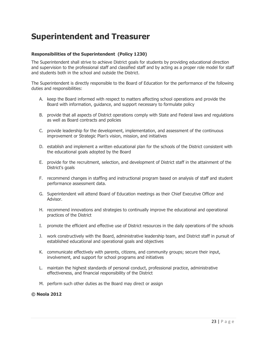## **Superintendent and Treasurer**

#### **Responsibilities of the Superintendent (Policy 1230)**

The Superintendent shall strive to achieve District goals for students by providing educational direction and supervision to the professional staff and classified staff and by acting as a proper role model for staff and students both in the school and outside the District.

The Superintendent is directly responsible to the Board of Education for the performance of the following duties and responsibilities:

- A. keep the Board informed with respect to matters affecting school operations and provide the Board with information, guidance, and support necessary to formulate policy
- B. provide that all aspects of District operations comply with State and Federal laws and regulations as well as Board contracts and policies
- C. provide leadership for the development, implementation, and assessment of the continuous improvement or Strategic Plan's vision, mission, and initiatives
- D. establish and implement a written educational plan for the schools of the District consistent with the educational goals adopted by the Board
- E. provide for the recruitment, selection, and development of District staff in the attainment of the District's goals
- F. recommend changes in staffing and instructional program based on analysis of staff and student performance assessment data.
- G. Superintendent will attend Board of Education meetings as their Chief Executive Officer and Advisor.
- H. recommend innovations and strategies to continually improve the educational and operational practices of the District
- I. promote the efficient and effective use of District resources in the daily operations of the schools
- J. work constructively with the Board, administrative leadership team, and District staff in pursuit of established educational and operational goals and objectives
- K. communicate effectively with parents, citizens, and community groups; secure their input, involvement, and support for school programs and initiatives
- L. maintain the highest standards of personal conduct, professional practice, administrative effectiveness, and financial responsibility of the District
- M. perform such other duties as the Board may direct or assign

#### **© Neola 2012**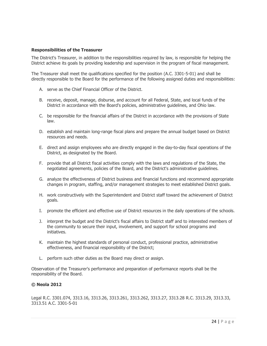#### **Responsibilities of the Treasurer**

The District's Treasurer, in addition to the responsibilities required by law, is responsible for helping the District achieve its goals by providing leadership and supervision in the program of fiscal management.

The Treasurer shall meet the qualifications specified for the position (A.C. 3301-5-01) and shall be directly responsible to the Board for the performance of the following assigned duties and responsibilities:

- A. serve as the Chief Financial Officer of the District.
- B. receive, deposit, manage, disburse, and account for all Federal, State, and local funds of the District in accordance with the Board's policies, administrative guidelines, and Ohio law.
- C. be responsible for the financial affairs of the District in accordance with the provisions of State law.
- D. establish and maintain long-range fiscal plans and prepare the annual budget based on District resources and needs.
- E. direct and assign employees who are directly engaged in the day-to-day fiscal operations of the District, as designated by the Board.
- F. provide that all District fiscal activities comply with the laws and regulations of the State, the negotiated agreements, policies of the Board, and the District's administrative guidelines.
- G. analyze the effectiveness of District business and financial functions and recommend appropriate changes in program, staffing, and/or management strategies to meet established District goals.
- H. work constructively with the Superintendent and District staff toward the achievement of District goals.
- I. promote the efficient and effective use of District resources in the daily operations of the schools.
- J. interpret the budget and the District's fiscal affairs to District staff and to interested members of the community to secure their input, involvement, and support for school programs and initiatives.
- K. maintain the highest standards of personal conduct, professional practice, administrative effectiveness, and financial responsibility of the District;
- L. perform such other duties as the Board may direct or assign.

Observation of the Treasurer's performance and preparation of performance reports shall be the responsibility of the Board.

#### **© Neola 2012**

Legal R.C. 3301.074, 3313.16, 3313.26, 3313.261, 3313.262, 3313.27, 3313.28 R.C. 3313.29, 3313.33, 3313.51 A.C. 3301-5-01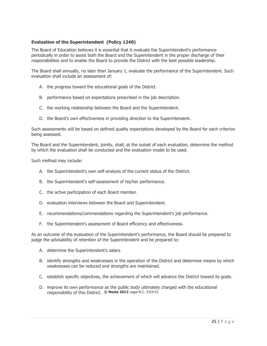#### **Evaluation of the Superintendent (Policy 1240)**

The Board of Education believes it is essential that it evaluate the Superintendent's performance periodically in order to assist both the Board and the Superintendent in the proper discharge of their responsibilities and to enable the Board to provide the District with the best possible leadership.

The Board shall annually, no later than January 1, evaluate the performance of the Superintendent. Such evaluation shall include an assessment of:

- A. the progress toward the educational goals of the District.
- B. performance based on expectations prescribed in the job description.
- C. the working relationship between the Board and the Superintendent.
- D. the Board's own effectiveness in providing direction to the Superintendent.

Such assessments will be based on defined quality expectations developed by the Board for each criterion being assessed.

The Board and the Superintendent, jointly, shall, at the outset of each evaluation, determine the method by which the evaluation shall be conducted and the evaluation model to be used.

Such method may include:

- A. the Superintendent's own self-analysis of the current status of the District.
- B. the Superintendent's self-assessment of his/her performance.
- C. the active participation of each Board member.
- D. evaluation interviews between the Board and Superintendent.
- E. recommendations/commendations regarding the Superintendent's job performance.
- F. the Superintendent's assessment of Board efficiency and effectiveness.

As an outcome of the evaluation of the Superintendent's performance, the Board should be prepared to judge the advisability of retention of the Superintendent and be prepared to:

- A. determine the Superintendent's salary.
- B. identify strengths and weaknesses in the operation of the District and determine means by which weaknesses can be reduced and strengths are maintained.
- C. establish specific objectives, the achievement of which will advance the District toward its goals.
- D. improve its own performance as the public body ultimately charged with the educational responsibility of this District. **© Neola 2012** Legal R.C. 3319.01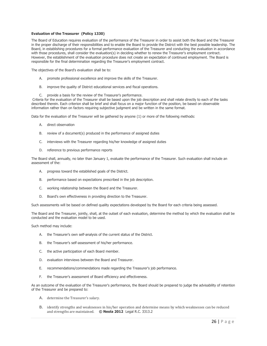#### **Evaluation of the Treasurer (Policy 1330)**

The Board of Education requires evaluation of the performance of the Treasurer in order to assist both the Board and the Treasurer in the proper discharge of their responsibilities and to enable the Board to provide the District with the best possible leadership. The Board, in establishing procedures for a formal performance evaluation of the Treasurer and conducting the evaluation in accordance with those procedures, shall consider the evaluation(s) in deciding whether to renew the Treasurer's employment contract. However, the establishment of the evaluation procedure does not create an expectation of continued employment. The Board is responsible for the final determination regarding the Treasurer's employment contract.

The objectives of the Board's evaluation shall be to:

- A. promote professional excellence and improve the skills of the Treasurer.
- B. improve the quality of District educational services and fiscal operations.
- C. provide a basis for the review of the Treasurer's performance.

Criteria for the evaluation of the Treasurer shall be based upon the job description and shall relate directly to each of the tasks described therein. Each criterion shall be brief and shall focus on a major function of the position, be based on observable information rather than on factors requiring subjective judgment and be written in the same format.

Data for the evaluation of the Treasurer will be gathered by anyone (1) or more of the following methods:

- A. direct observation
- B. review of a document(s) produced in the performance of assigned duties
- C. interviews with the Treasurer regarding his/her knowledge of assigned duties
- D. reference to previous performance reports

The Board shall, annually, no later than January 1, evaluate the performance of the Treasurer. Such evaluation shall include an assessment of the:

- A. progress toward the established goals of the District.
- B. performance based on expectations prescribed in the job description.
- C. working relationship between the Board and the Treasurer.
- D. Board's own effectiveness in providing direction to the Treasurer.

Such assessments will be based on defined quality expectations developed by the Board for each criteria being assessed.

The Board and the Treasurer, jointly, shall, at the outset of each evaluation, determine the method by which the evaluation shall be conducted and the evaluation model to be used.

Such method may include:

- A. the Treasurer's own self-analysis of the current status of the District.
- B. the Treasurer's self-assessment of his/her performance.
- C. the active participation of each Board member.
- D. evaluation interviews between the Board and Treasurer.
- E. recommendations/commendations made regarding the Treasurer's job performance.
- F. the Treasurer's assessment of Board efficiency and effectiveness.

As an outcome of the evaluation of the Treasurer's performance, the Board should be prepared to judge the advisability of retention of the Treasurer and be prepared to:

- A. determine the Treasurer's salary.
- B. identify strengths and weaknesses in his/her operation and determine means by which weaknesses can be reduced and strengths are maintained. **© Neola 2012** Legal R.C. 3313.2